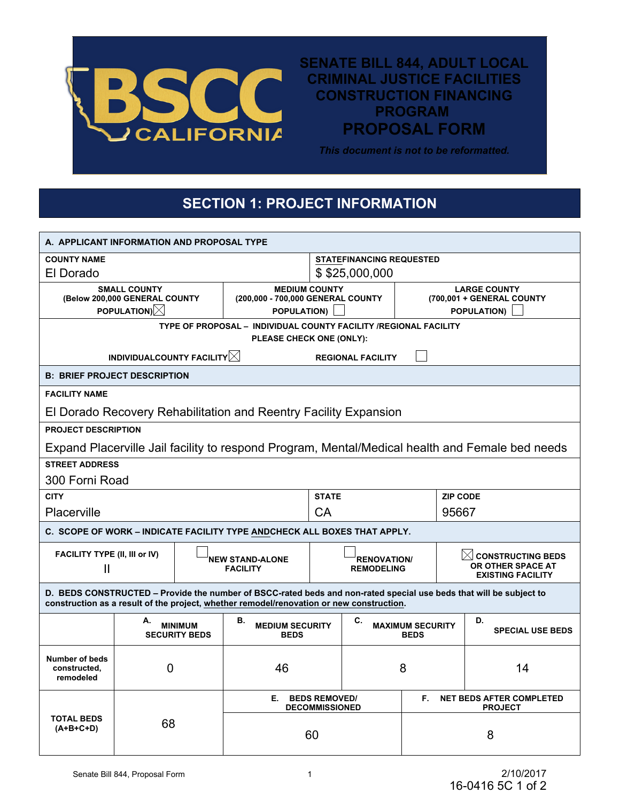

**SENATE BILL 844, ADULT LOCAL CRIMINAL JUSTICE FACILITIES CONSTRUCTION FINANCING PROGRAM PROPOSAL FORM**

## **SECTION 1: PROJECT INFORMATION**

|                                                                   |                                 |                                        |                                                                                                                                                                                                                |                                         |                 | <b>PROGRAM</b>                                   |                                                                                                 |  |  |
|-------------------------------------------------------------------|---------------------------------|----------------------------------------|----------------------------------------------------------------------------------------------------------------------------------------------------------------------------------------------------------------|-----------------------------------------|-----------------|--------------------------------------------------|-------------------------------------------------------------------------------------------------|--|--|
|                                                                   |                                 |                                        | <b>PROPOSAL FORM</b><br><b>CALIFORNIA</b>                                                                                                                                                                      |                                         |                 |                                                  |                                                                                                 |  |  |
|                                                                   |                                 |                                        |                                                                                                                                                                                                                | This document is not to be reformatted. |                 |                                                  |                                                                                                 |  |  |
|                                                                   |                                 |                                        |                                                                                                                                                                                                                |                                         |                 |                                                  |                                                                                                 |  |  |
|                                                                   |                                 |                                        | <b>SECTION 1: PROJECT INFORMATION</b>                                                                                                                                                                          |                                         |                 |                                                  |                                                                                                 |  |  |
|                                                                   |                                 |                                        |                                                                                                                                                                                                                |                                         |                 |                                                  |                                                                                                 |  |  |
| A. APPLICANT INFORMATION AND PROPOSAL TYPE                        |                                 |                                        |                                                                                                                                                                                                                |                                         |                 |                                                  |                                                                                                 |  |  |
| <b>COUNTY NAME</b>                                                | <b>STATEFINANCING REQUESTED</b> |                                        |                                                                                                                                                                                                                |                                         |                 |                                                  |                                                                                                 |  |  |
| El Dorado                                                         |                                 |                                        |                                                                                                                                                                                                                | \$\$25,000,000                          |                 |                                                  |                                                                                                 |  |  |
| <b>SMALL COUNTY</b><br>(Below 200,000 GENERAL COUNTY              |                                 |                                        | <b>MEDIUM COUNTY</b><br>(200,000 - 700,000 GENERAL COUNTY                                                                                                                                                      |                                         |                 | <b>LARGE COUNTY</b><br>(700,001 + GENERAL COUNTY |                                                                                                 |  |  |
| <b>POPULATION)</b> $\boxtimes$                                    |                                 |                                        | POPULATION)                                                                                                                                                                                                    |                                         |                 | <b>POPULATION)</b>                               |                                                                                                 |  |  |
|                                                                   |                                 |                                        | TYPE OF PROPOSAL - INDIVIDUAL COUNTY FACILITY /REGIONAL FACILITY<br>PLEASE CHECK ONE (ONLY):                                                                                                                   |                                         |                 |                                                  |                                                                                                 |  |  |
| INDIVIDUALCOUNTY FACILITY $\boxtimes$<br><b>REGIONAL FACILITY</b> |                                 |                                        |                                                                                                                                                                                                                |                                         |                 |                                                  |                                                                                                 |  |  |
| <b>B: BRIEF PROJECT DESCRIPTION</b>                               |                                 |                                        |                                                                                                                                                                                                                |                                         |                 |                                                  |                                                                                                 |  |  |
| <b>FACILITY NAME</b>                                              |                                 |                                        |                                                                                                                                                                                                                |                                         |                 |                                                  |                                                                                                 |  |  |
|                                                                   |                                 |                                        | El Dorado Recovery Rehabilitation and Reentry Facility Expansion                                                                                                                                               |                                         |                 |                                                  |                                                                                                 |  |  |
| <b>PROJECT DESCRIPTION</b>                                        |                                 |                                        |                                                                                                                                                                                                                |                                         |                 |                                                  |                                                                                                 |  |  |
|                                                                   |                                 |                                        |                                                                                                                                                                                                                |                                         |                 |                                                  | Expand Placerville Jail facility to respond Program, Mental/Medical health and Female bed needs |  |  |
| <b>STREET ADDRESS</b>                                             |                                 |                                        |                                                                                                                                                                                                                |                                         |                 |                                                  |                                                                                                 |  |  |
| 300 Forni Road                                                    |                                 |                                        |                                                                                                                                                                                                                |                                         |                 |                                                  |                                                                                                 |  |  |
| <b>CITY</b>                                                       |                                 |                                        |                                                                                                                                                                                                                | <b>STATE</b>                            | <b>ZIP CODE</b> |                                                  |                                                                                                 |  |  |
| Placerville                                                       |                                 |                                        |                                                                                                                                                                                                                | CA                                      |                 |                                                  | 95667                                                                                           |  |  |
|                                                                   |                                 |                                        | C. SCOPE OF WORK - INDICATE FACILITY TYPE ANDCHECK ALL BOXES THAT APPLY.                                                                                                                                       |                                         |                 |                                                  |                                                                                                 |  |  |
| FACILITY TYPE (II, III or IV)<br>$\mathbf{I}$                     |                                 |                                        | NEW STAND-ALONE<br><b>FACILITY</b>                                                                                                                                                                             | <b>RENOVATION/</b><br><b>REMODELING</b> |                 |                                                  | $\bowtie$<br><b>CONSTRUCTING BEDS</b><br>OR OTHER SPACE AT<br><b>EXISTING FACILITY</b>          |  |  |
|                                                                   |                                 |                                        | D. BEDS CONSTRUCTED - Provide the number of BSCC-rated beds and non-rated special use beds that will be subject to<br>construction as a result of the project, whether remodel/renovation or new construction. |                                         |                 |                                                  |                                                                                                 |  |  |
|                                                                   | А.                              | <b>MINIMUM</b><br><b>SECURITY BEDS</b> | В.<br><b>MEDIUM SECURITY</b><br><b>BEDS</b>                                                                                                                                                                    |                                         | C.              | <b>MAXIMUM SECURITY</b><br><b>BEDS</b>           | D.<br><b>SPECIAL USE BEDS</b>                                                                   |  |  |
| <b>Number of beds</b><br>constructed,<br>remodeled                | 0                               |                                        | 46                                                                                                                                                                                                             |                                         |                 | 8                                                | 14                                                                                              |  |  |
|                                                                   |                                 |                                        | E. BEDS REMOVED/                                                                                                                                                                                               |                                         | F.              |                                                  | <b>NET BEDS AFTER COMPLETED</b>                                                                 |  |  |
| <b>TOTAL BEDS</b><br>$(A+B+C+D)$                                  | 68                              |                                        | <b>DECOMMISSIONED</b><br>60                                                                                                                                                                                    |                                         |                 |                                                  | <b>PROJECT</b><br>8                                                                             |  |  |